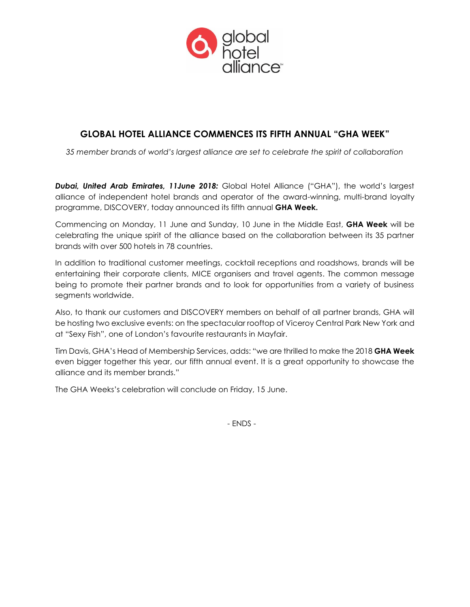

# **GLOBAL HOTEL ALLIANCE COMMENCES ITS FIFTH ANNUAL "GHA WEEK"**

*35 member brands of world's largest alliance are set to celebrate the spirit of collaboration*

*Dubai, United Arab Emirates, 11June 2018:* Global Hotel Alliance ("GHA"), the world's largest alliance of independent hotel brands and operator of the award-winning, multi-brand loyalty programme, DISCOVERY, today announced its fifth annual **GHA Week.** 

Commencing on Monday, 11 June and Sunday, 10 June in the Middle East, **GHA Week** will be celebrating the unique spirit of the alliance based on the collaboration between its 35 partner brands with over 500 hotels in 78 countries.

In addition to traditional customer meetings, cocktail receptions and roadshows, brands will be entertaining their corporate clients, MICE organisers and travel agents. The common message being to promote their partner brands and to look for opportunities from a variety of business segments worldwide.

Also, to thank our customers and DISCOVERY members on behalf of all partner brands, GHA will be hosting two exclusive events: on the spectacular rooftop of Viceroy Central Park New York and at "Sexy Fish", one of London's favourite restaurants in Mayfair.

Tim Davis, GHA's Head of Membership Services, adds: "we are thrilled to make the 2018 **GHA Week** even bigger together this year, our fifth annual event. It is a great opportunity to showcase the alliance and its member brands."

The GHA Weeks's celebration will conclude on Friday, 15 June.

- ENDS -